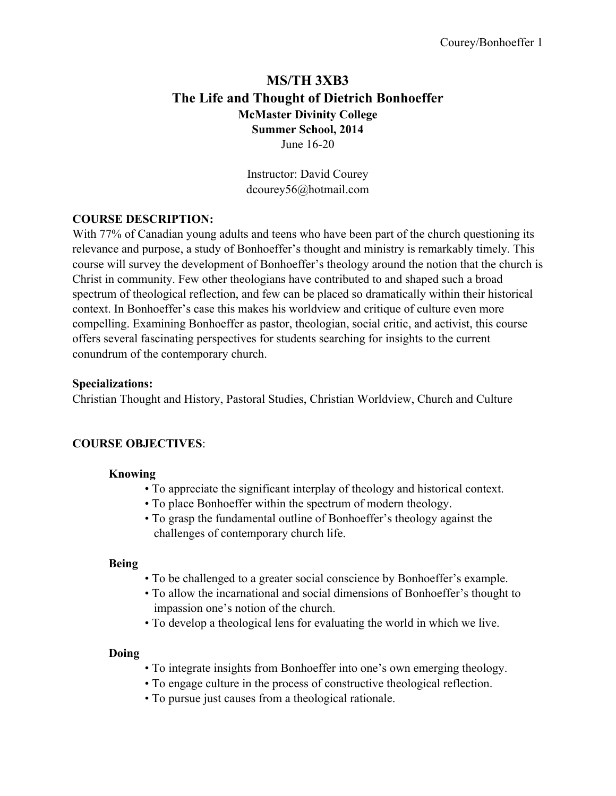## **MS/TH 3XB3 The Life and Thought of Dietrich Bonhoeffer McMaster Divinity College Summer School, 2014** June 16-20

Instructor: David Courey dcourey56@hotmail.com

### **COURSE DESCRIPTION:**

With 77% of Canadian young adults and teens who have been part of the church questioning its relevance and purpose, a study of Bonhoeffer's thought and ministry is remarkably timely. This course will survey the development of Bonhoeffer's theology around the notion that the church is Christ in community. Few other theologians have contributed to and shaped such a broad spectrum of theological reflection, and few can be placed so dramatically within their historical context. In Bonhoeffer's case this makes his worldview and critique of culture even more compelling. Examining Bonhoeffer as pastor, theologian, social critic, and activist, this course offers several fascinating perspectives for students searching for insights to the current conundrum of the contemporary church.

### **Specializations:**

Christian Thought and History, Pastoral Studies, Christian Worldview, Church and Culture

### **COURSE OBJECTIVES**:

### **Knowing**

- To appreciate the significant interplay of theology and historical context.
- To place Bonhoeffer within the spectrum of modern theology.
- To grasp the fundamental outline of Bonhoeffer's theology against the challenges of contemporary church life.

### **Being**

- To be challenged to a greater social conscience by Bonhoeffer's example.
- To allow the incarnational and social dimensions of Bonhoeffer's thought to impassion one's notion of the church.
- To develop a theological lens for evaluating the world in which we live.

### **Doing**

- To integrate insights from Bonhoeffer into one's own emerging theology.
- To engage culture in the process of constructive theological reflection.
- To pursue just causes from a theological rationale.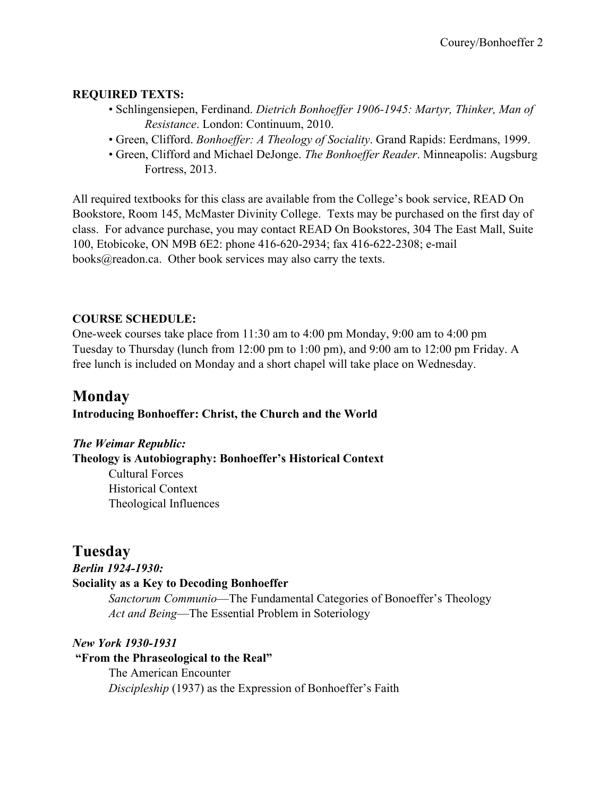## **REQUIRED TEXTS:**

- Schlingensiepen, Ferdinand. *Dietrich Bonhoeffer 1906-1945: Martyr, Thinker, Man of Resistance*. London: Continuum, 2010.
- Green, Clifford. *Bonhoeffer: A Theology of Sociality*. Grand Rapids: Eerdmans, 1999.
- Green, Clifford and Michael DeJonge. *The Bonhoeffer Reader*. Minneapolis: Augsburg Fortress, 2013.

All required textbooks for this class are available from the College's book service, READ On Bookstore, Room 145, McMaster Divinity College. Texts may be purchased on the first day of class. For advance purchase, you may contact READ On Bookstores, 304 The East Mall, Suite 100, Etobicoke, ON M9B 6E2: phone 416-620-2934; fax 416-622-2308; e-mail books@readon.ca. Other book services may also carry the texts.

### **COURSE SCHEDULE:**

One-week courses take place from 11:30 am to 4:00 pm Monday, 9:00 am to 4:00 pm Tuesday to Thursday (lunch from 12:00 pm to 1:00 pm), and 9:00 am to 12:00 pm Friday. A free lunch is included on Monday and a short chapel will take place on Wednesday.

# **Monday**

## **Introducing Bonhoeffer: Christ, the Church and the World**

*The Weimar Republic:*

**Theology is Autobiography: Bonhoeffer's Historical Context**

Cultural Forces Historical Context Theological Influences

## **Tuesday**

*Berlin 1924-1930:*

## **Sociality as a Key to Decoding Bonhoeffer**

*Sanctorum Communio*—The Fundamental Categories of Bonoeffer's Theology *Act and Being*—The Essential Problem in Soteriology

*New York 1930-1931*

**"From the Phraseological to the Real"** The American Encounter *Discipleship* (1937) as the Expression of Bonhoeffer's Faith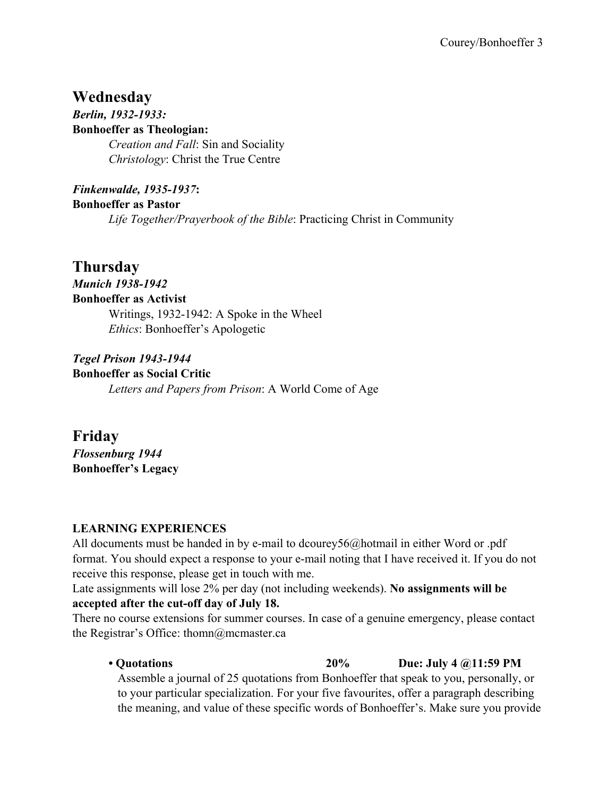# **Wednesday**

*Berlin, 1932-1933:* **Bonhoeffer as Theologian:** *Creation and Fall*: Sin and Sociality *Christology*: Christ the True Centre

*Finkenwalde, 1935-1937***: Bonhoeffer as Pastor** *Life Together/Prayerbook of the Bible*: Practicing Christ in Community

# **Thursday**

*Munich 1938-1942* **Bonhoeffer as Activist** Writings, 1932-1942: A Spoke in the Wheel *Ethics*: Bonhoeffer's Apologetic

*Tegel Prison 1943-1944* **Bonhoeffer as Social Critic** *Letters and Papers from Prison*: A World Come of Age

**Friday** *Flossenburg 1944* **Bonhoeffer's Legacy**

## **LEARNING EXPERIENCES**

All documents must be handed in by e-mail to dcourey56@hotmail in either Word or .pdf format. You should expect a response to your e-mail noting that I have received it. If you do not receive this response, please get in touch with me.

Late assignments will lose 2% per day (not including weekends). **No assignments will be accepted after the cut-off day of July 18.** 

There no course extensions for summer courses. In case of a genuine emergency, please contact the Registrar's Office: thomn@mcmaster.ca

**• Quotations 20% Due: July 4 @11:59 PM**

Assemble a journal of 25 quotations from Bonhoeffer that speak to you, personally, or to your particular specialization. For your five favourites, offer a paragraph describing the meaning, and value of these specific words of Bonhoeffer's. Make sure you provide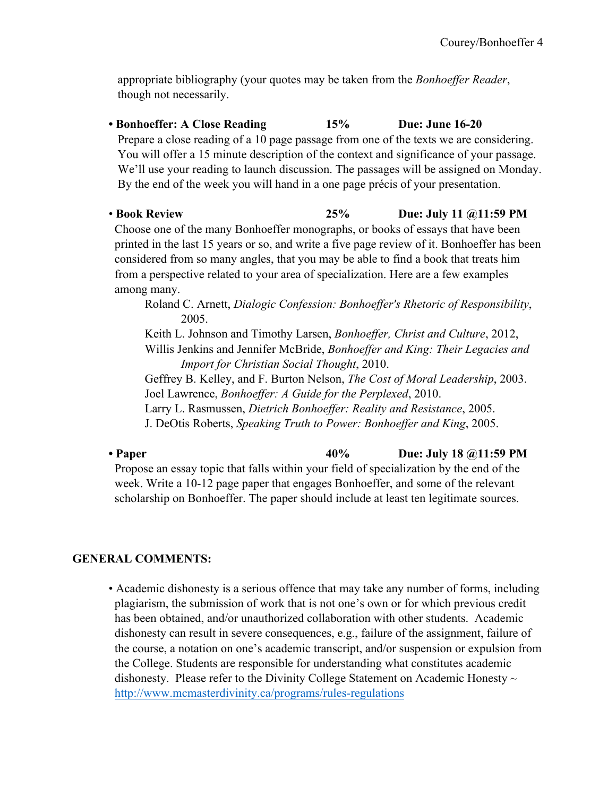appropriate bibliography (your quotes may be taken from the *Bonhoeffer Reader*, though not necessarily.

- **Bonhoeffer: A Close Reading 15% Due: June 16-20** Prepare a close reading of a 10 page passage from one of the texts we are considering. You will offer a 15 minute description of the context and significance of your passage. We'll use your reading to launch discussion. The passages will be assigned on Monday. By the end of the week you will hand in a one page précis of your presentation.
- **Book Review 25% Due: July 11 @11:59 PM** Choose one of the many Bonhoeffer monographs, or books of essays that have been printed in the last 15 years or so, and write a five page review of it. Bonhoeffer has been considered from so many angles, that you may be able to find a book that treats him from a perspective related to your area of specialization. Here are a few examples among many.

Roland C. Arnett, *Dialogic Confession: Bonhoeffer's Rhetoric of Responsibility*, 2005.

Keith L. Johnson and Timothy Larsen, *Bonhoeffer, Christ and Culture*, 2012, Willis Jenkins and Jennifer McBride, *Bonhoeffer and King: Their Legacies and Import for Christian Social Thought*, 2010.

Geffrey B. Kelley, and F. Burton Nelson, *The Cost of Moral Leadership*, 2003. Joel Lawrence, *Bonhoeffer: A Guide for the Perplexed*, 2010.

Larry L. Rasmussen, *Dietrich Bonhoeffer: Reality and Resistance*, 2005.

J. DeOtis Roberts, *Speaking Truth to Power: Bonhoeffer and King*, 2005.

**• Paper 40% Due: July 18 @11:59 PM** Propose an essay topic that falls within your field of specialization by the end of the week. Write a 10-12 page paper that engages Bonhoeffer, and some of the relevant scholarship on Bonhoeffer. The paper should include at least ten legitimate sources.

## **GENERAL COMMENTS:**

• Academic dishonesty is a serious offence that may take any number of forms, including plagiarism, the submission of work that is not one's own or for which previous credit has been obtained, and/or unauthorized collaboration with other students. Academic dishonesty can result in severe consequences, e.g., failure of the assignment, failure of the course, a notation on one's academic transcript, and/or suspension or expulsion from the College. Students are responsible for understanding what constitutes academic dishonesty. Please refer to the Divinity College Statement on Academic Honesty  $\sim$ http://www.mcmasterdivinity.ca/programs/rules-regulations